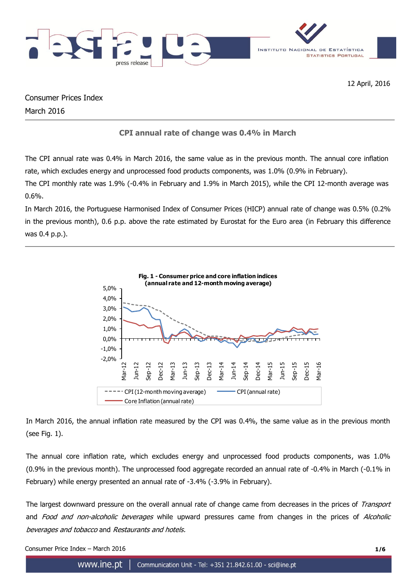

12 April, 2016

Consumer Prices Index March 2016

# **CPI annual rate of change was 0.4% in March**

The CPI annual rate was 0.4% in March 2016, the same value as in the previous month. The annual core inflation rate, which excludes energy and unprocessed food products components, was 1.0% (0.9% in February).

The CPI monthly rate was 1.9% (-0.4% in February and 1.9% in March 2015), while the CPI 12-month average was 0.6%.

In March 2016, the Portuguese Harmonised Index of Consumer Prices (HICP) annual rate of change was 0.5% (0.2% in the previous month), 0.6 p.p. above the rate estimated by Eurostat for the Euro area (in February this difference was 0.4 p.p.).



In March 2016, the annual inflation rate measured by the CPI was 0.4%, the same value as in the previous month (see Fig. 1).

The annual core inflation rate, which excludes energy and unprocessed food products components, was 1.0% (0.9% in the previous month). The unprocessed food aggregate recorded an annual rate of -0.4% in March (-0.1% in February) while energy presented an annual rate of -3.4% (-3.9% in February).

The largest downward pressure on the overall annual rate of change came from decreases in the prices of Transport and Food and non-alcoholic beverages while upward pressures came from changes in the prices of Alcoholic beverages and tobacco and Restaurants and hotels.

Consumer Price Index – March 2016 **1/6**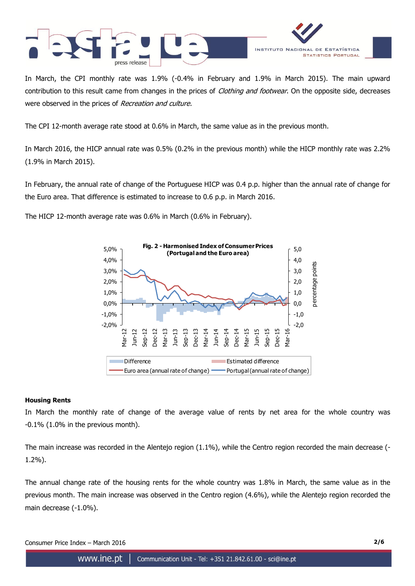



In March, the CPI monthly rate was 1.9% (-0.4% in February and 1.9% in March 2015). The main upward contribution to this result came from changes in the prices of *Clothing and footwear*. On the opposite side, decreases were observed in the prices of Recreation and culture.

The CPI 12-month average rate stood at 0.6% in March, the same value as in the previous month.

In March 2016, the HICP annual rate was 0.5% (0.2% in the previous month) while the HICP monthly rate was 2.2% (1.9% in March 2015).

In February, the annual rate of change of the Portuguese HICP was 0.4 p.p. higher than the annual rate of change for the Euro area. That difference is estimated to increase to 0.6 p.p. in March 2016.

The HICP 12-month average rate was 0.6% in March (0.6% in February).



## **Housing Rents**

In March the monthly rate of change of the average value of rents by net area for the whole country was -0.1% (1.0% in the previous month).

The main increase was recorded in the Alentejo region (1.1%), while the Centro region recorded the main decrease (- 1.2%).

The annual change rate of the housing rents for the whole country was 1.8% in March, the same value as in the previous month. The main increase was observed in the Centro region (4.6%), while the Alentejo region recorded the main decrease (-1.0%).

Consumer Price Index – March 2016 **2/6**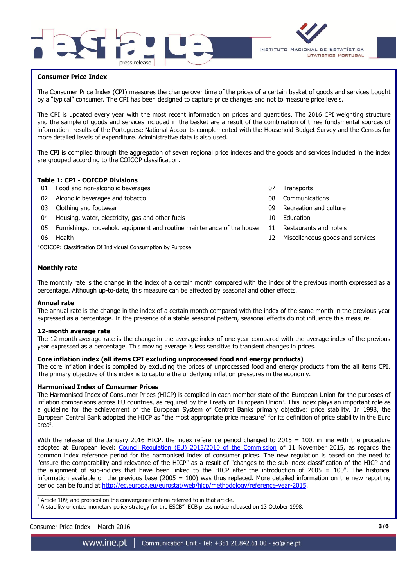



## **Consumer Price Index**

The Consumer Price Index (CPI) measures the change over time of the prices of a certain basket of goods and services bought by a "typical" consumer. The CPI has been designed to capture price changes and not to measure price levels.

The CPI is updated every year with the most recent information on prices and quantities. The 2016 CPI weighting structure and the sample of goods and services included in the basket are a result of the combination of three fundamental sources of information: results of the Portuguese National Accounts complemented with the Household Budget Survey and the Census for more detailed levels of expenditure. Administrative data is also used.

The CPI is compiled through the aggregation of seven regional price indexes and the goods and services included in the index are grouped according to the COICOP classification.

## **Table 1: CPI - COICOP Divisions**

|                                                  | 07                                                                                                           | <b>Transports</b>                |
|--------------------------------------------------|--------------------------------------------------------------------------------------------------------------|----------------------------------|
| Alcoholic beverages and tobacco                  | 08                                                                                                           | Communications                   |
| Clothing and footwear                            | 09                                                                                                           | Recreation and culture           |
| Housing, water, electricity, gas and other fuels | 10                                                                                                           | Education                        |
|                                                  | 11                                                                                                           | Restaurants and hotels           |
| Health                                           | 12                                                                                                           | Miscellaneous goods and services |
|                                                  | 01 Food and non-alcoholic beverages<br>Furnishings, household equipment and routine maintenance of the house |                                  |

 $1$ COICOP: Classification Of Individual Consumption by Purpose

## **Monthly rate**

The monthly rate is the change in the index of a certain month compared with the index of the previous month expressed as a percentage. Although up-to-date, this measure can be affected by seasonal and other effects.

#### **Annual rate**

The annual rate is the change in the index of a certain month compared with the index of the same month in the previous year expressed as a percentage. In the presence of a stable seasonal pattern, seasonal effects do not influence this measure.

#### **12-month average rate**

The 12-month average rate is the change in the average index of one year compared with the average index of the previous year expressed as a percentage. This moving average is less sensitive to transient changes in prices.

## **Core inflation index (all items CPI excluding unprocessed food and energy products)**

The core inflation index is compiled by excluding the prices of unprocessed food and energy products from the all items CPI. The primary objective of this index is to capture the underlying inflation pressures in the economy.

#### **Harmonised Index of Consumer Prices**

The Harmonised Index of Consumer Prices (HICP) is compiled in each member state of the European Union for the purposes of inflation comparisons across EU countries, as required by the Treaty on European Union<sup>1</sup>. This index plays an important role as a guideline for the achievement of the European System of Central Banks primary objective: price stability. In 1998, the European Central Bank adopted the HICP as "the most appropriate price measure" for its definition of price stability in the Euro  $area<sup>2</sup>$ .

With the release of the January 2016 HICP, the index reference period changed to  $2015 = 100$ , in line with the procedure adopted at European level: [Council Regulation \(EU\) 2015/2010 of the Commission](http://eur-lex.europa.eu/legal-content/EN/TXT/PDF/?uri=CELEX:32015R2010&from=EN) of 11 November 2015, as regards the common index reference period for the harmonised index of consumer prices. The new regulation is based on the need to "ensure the comparability and relevance of the HICP" as a result of "changes to the sub-index classification of the HICP and the alignment of sub-indices that have been linked to the HICP after the introduction of 2005 = 100". The historical information available on the previous base (2005 =  $100$ ) was thus replaced. More detailed information on the new reporting period can be found at [http://ec.europa.eu/eurostat/web/hicp/methodology/reference-year-2015.](http://ec.europa.eu/eurostat/web/hicp/methodology/reference-year-2015)

 $1$  Article 109j and protocol on the convergence criteria referred to in that article.

<sup>2</sup> A stability oriented monetary policy strategy for the ESCB". ECB press notice released on 13 October 1998.

## Consumer Price Index – March 2016 **3/6**

 $\frac{1}{2}$  ,  $\frac{1}{2}$  ,  $\frac{1}{2}$  ,  $\frac{1}{2}$  ,  $\frac{1}{2}$  ,  $\frac{1}{2}$  ,  $\frac{1}{2}$  ,  $\frac{1}{2}$  ,  $\frac{1}{2}$  ,  $\frac{1}{2}$  ,  $\frac{1}{2}$  ,  $\frac{1}{2}$  ,  $\frac{1}{2}$  ,  $\frac{1}{2}$  ,  $\frac{1}{2}$  ,  $\frac{1}{2}$  ,  $\frac{1}{2}$  ,  $\frac{1}{2}$  ,  $\frac{1$ 

www.ine.pt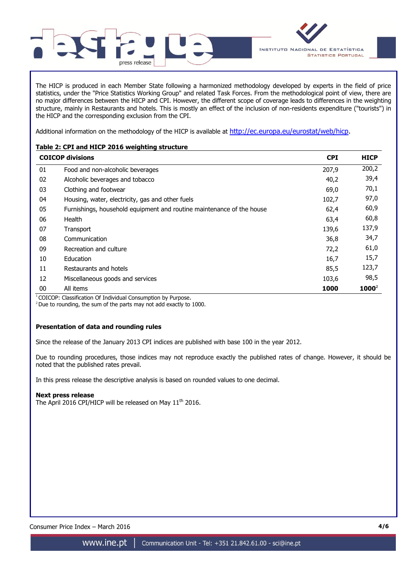

The HICP is produced in each Member State following a harmonized methodology developed by experts in the field of price statistics, under the "Price Statistics Working Group" and related Task Forces. From the methodological point of view, there are no major differences between the HICP and CPI. However, the different scope of coverage leads to differences in the weighting structure, mainly in Restaurants and hotels. This is mostly an effect of the inclusion of non-residents expenditure ("tourists") in the HICP and the corresponding exclusion from the CPI.

Additional information on the methodology of the HICP is available at [http://ec.europa.eu/eurostat/web/hicp.](http://ec.europa.eu/eurostat/web/hicp)

# **Table 2: CPI and HICP 2016 weighting structure**

|    | <b>COICOP divisions</b>                                               | <b>CPI</b> | <b>HICP</b> |
|----|-----------------------------------------------------------------------|------------|-------------|
| 01 | Food and non-alcoholic beverages                                      | 207,9      | 200,2       |
| 02 | Alcoholic beverages and tobacco                                       | 40,2       | 39,4        |
| 03 | Clothing and footwear                                                 | 69,0       | 70,1        |
| 04 | Housing, water, electricity, gas and other fuels                      | 102,7      | 97,0        |
| 05 | Furnishings, household equipment and routine maintenance of the house | 62,4       | 60,9        |
| 06 | Health                                                                | 63,4       | 60,8        |
| 07 | Transport                                                             | 139,6      | 137,9       |
| 08 | Communication                                                         | 36,8       | 34,7        |
| 09 | Recreation and culture                                                | 72,2       | 61,0        |
| 10 | Education                                                             | 16,7       | 15,7        |
| 11 | Restaurants and hotels                                                | 85,5       | 123,7       |
| 12 | Miscellaneous goods and services                                      | 103,6      | 98,5        |
| 00 | All items                                                             | 1000       | $1000^2$    |

<sup>1</sup> COICOP: Classification Of Individual Consumption by Purpose.

 $2$  Due to rounding, the sum of the parts may not add exactly to 1000.

## **Presentation of data and rounding rules**

Since the release of the January 2013 CPI indices are published with base 100 in the year 2012.

Due to rounding procedures, those indices may not reproduce exactly the published rates of change. However, it should be noted that the published rates prevail.

In this press release the descriptive analysis is based on rounded values to one decimal.

## **Next press release**

The April 2016 CPI/HICP will be released on May 11<sup>th</sup> 2016.

Consumer Price Index – March 2016 **4/6**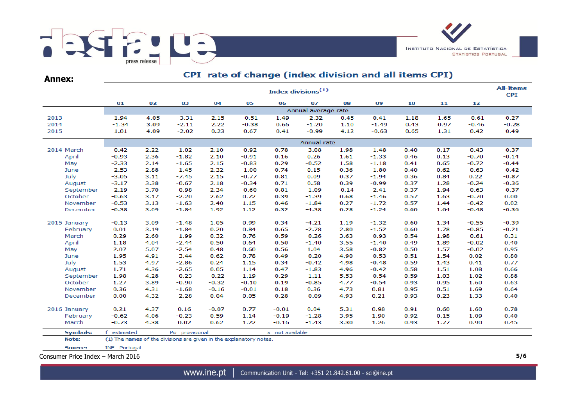

**Annex:**

# CPI rate of change (index division and all items CPI)

|                   | Index divisions <sup>(1)</sup> |              |                                                                    |         |         |                 |                     |              |         |      |      |         |         |  |  |
|-------------------|--------------------------------|--------------|--------------------------------------------------------------------|---------|---------|-----------------|---------------------|--------------|---------|------|------|---------|---------|--|--|
|                   | 01                             | 02           | 03                                                                 | 04      | 05      | 06              | 07                  | 08           | 09      | 10   | 11   | 12      |         |  |  |
|                   |                                |              |                                                                    |         |         |                 | Annual average rate |              |         |      |      |         |         |  |  |
| 2013              | 1.94                           | 4.05         | $-3.31$                                                            | 2.15    | $-0.51$ | 1.49            | $-2.32$             | 0.45         | 0.41    | 1.18 | 1.65 | $-0.61$ | 0.27    |  |  |
| 2014              | $-1.34$                        | 3.09         | $-2.11$                                                            | 2.22    | $-0.38$ | 0.66            | $-1.20$             | 1.10         | $-1.49$ | 0.43 | 0.97 | $-0.46$ | $-0.28$ |  |  |
| 2015              | 1.01                           | 4.09         | $-2.02$                                                            | 0.23    | 0.67    | 0.41            | $-0.99$             | 4.12         | $-0.63$ | 0.65 | 1.31 | 0.42    | 0.49    |  |  |
|                   |                                |              |                                                                    |         |         |                 | Annual rate         |              |         |      |      |         |         |  |  |
| 2014 March        | $-0.42$                        | 2.22         | $-1.02$                                                            | 2.10    | $-0.92$ | 0.78            | $-3.08$             | 1.98         | $-1.48$ | 0.40 | 0.17 | $-0.43$ | $-0.37$ |  |  |
| April             | $-0.93$                        | 2.36         | $-1.82$                                                            | 2.10    | $-0.91$ | 0.16            | 0.26                | 1.61         | $-1.33$ | 0.46 | 0.13 | $-0.70$ | $-0.14$ |  |  |
| May               | $-2.33$                        | 2.14         | $-1.65$                                                            | 2.15    | $-0.83$ | 0.29            | $-0.52$             | 1.58         | $-1.18$ | 0.41 | 0.65 | $-0.72$ | $-0.44$ |  |  |
| June              | $-2.53$                        | 2.88         | $-1.45$                                                            | 2.32    | $-1.00$ | 0.74            | 0.15                | 0.36         | $-1.80$ | 0.40 | 0.62 | $-0.63$ | $-0.42$ |  |  |
| July              | $-3.05$                        | 3.11         | $-7.45$                                                            | 2.15    | $-0.77$ | 0.81            | 0.09                | 0.37         | $-1.94$ | 0.36 | 0.84 | 0.22    | $-0.87$ |  |  |
| August            | $-3.17$                        | 3.38         | $-0.67$                                                            | 2.18    | $-0.34$ | 0.71            | 0.58                | 0.39         | $-0.99$ | 0.37 | 1.28 | $-0.24$ | $-0.36$ |  |  |
| September         | $-2.19$                        | 3.70         | $-0.98$                                                            | 2.34    | $-0.60$ | 0.81            | $-1.09$             | $-0.14$      | $-2.41$ | 0.37 | 1.94 | $-0.63$ | $-0.37$ |  |  |
| October           | $-0.63$                        | 3.17         | $-2.20$                                                            | 2.62    | 0.72    | 0.39            | $-1.39$             | 0.68         | $-1.46$ | 0.57 | 1.63 | $-0.70$ | 0.00    |  |  |
| November          | $-0.53$                        | 3.13         | $-1.63$                                                            | 2.40    | 1.15    | 0.46            | $-1.84$             | 0.27         | $-1.72$ | 0.57 | 1.44 | $-0.42$ | 0.02    |  |  |
| December          | $-0.38$                        | 3.09         | $-1.84$                                                            | 1.92    | 1.12    | 0.32            | $-4.38$             | 0.28         | $-1.24$ |      | 1.64 | $-0.48$ | $-0.36$ |  |  |
| 2015 January      | $-0.13$                        | 3.09         | $-1.48$                                                            | 1.05    | 0.99    | 0.34            | $-4.21$             | 1.19         | $-1.32$ | 0.60 | 1.34 | $-0.55$ | $-0.39$ |  |  |
| February          | 0.01                           | 3.19         | $-1.84$                                                            | 0.20    | 0.84    | 0.65            | $-2.78$             | 2.80         | $-1.52$ | 0.60 | 1.78 | $-0.85$ | $-0.21$ |  |  |
| March             | 0.29                           | 2.60         | $-1.99$                                                            | 0.32    | 0.76    | 0.59            | $-0.26$             | 3.63         | $-0.93$ | 0.54 | 1.98 | $-0.61$ | 0.31    |  |  |
| April             | 1.18                           | 4.04         | $-2.44$                                                            | 0.50    | 0.64    | 0.50            | $-1.40$             | 3.55         | $-1.40$ | 0.49 | 1.89 | $-0.02$ | 0.40    |  |  |
| May               | 2.07                           | 5.07         | $-2.54$                                                            | 0.48    | 0.60    | 0.56            | 1.04                |              | $-0.82$ | 0.50 | 1.57 | $-0.02$ | 0.95    |  |  |
| June              | 1.95                           | 4.91         | $-3.44$                                                            | 0.62    | 0.78    | 0.49            | $-0.20$             | 3.58<br>4.90 | $-0.53$ | 0.51 | 1.54 | 0.02    | 0.80    |  |  |
| July              | 1.53                           | 4.97         | $-2.86$                                                            | 0.24    | 1.15    | 0.34            | $-0.42$             | 4.98         | $-0.48$ | 0.59 | 1.43 | 0.41    | 0.77    |  |  |
| August            | 1.71                           | 4.36         | $-2.65$                                                            | 0.05    | 1.14    | 0.47            | $-1.83$             | 4.96         | $-0.42$ | 0.58 | 1.51 | 1.08    | 0.66    |  |  |
| September         | 1.98                           | 4.28         | $-0.23$                                                            | $-0.22$ | 1.19    | 0.29            | $-1.11$             | 5.53         | $-0.54$ | 0.59 | 1.03 | 1.02    | 0.88    |  |  |
| October           | 1.27                           | 3.89         | $-0.90$                                                            | $-0.32$ | $-0.10$ | 0.19            | $-0.85$             | 4.77         | $-0.54$ | 0.93 | 0.95 | 1.60    | 0.63    |  |  |
| November          | 0.36                           | 4.31         | $-1.68$                                                            | $-0.16$ | $-0.01$ | 0.18            | 0.36                | 4.73         | 0.81    | 0.95 | 0.51 | 1.69    | 0.64    |  |  |
| December          | 0.00                           | 4.32         | $-2.28$                                                            | 0.04    | 0.05    | 0.28            | $-0.09$             | 4.93         | 0.21    | 0.93 | 0.23 | 1.33    | 0.40    |  |  |
|                   | 0.21                           | 4.37         | 0.16                                                               | $-0.07$ | 0.77    | $-0.01$         | 0.04                | 5.31         | 0.98    | 0.91 | 0.60 | 1.60    | 0.78    |  |  |
| 2016 January      | $-0.62$                        |              | $-0.23$                                                            | 0.59    | 1.14    | $-0.19$         | $-1.28$             | 3.95         | 1.90    | 0.92 | 0.15 | 1.09    | 0.40    |  |  |
| February<br>March | $-0.73$                        | 4.06<br>4.38 | 0.02                                                               |         | 1.22    | $-0.16$         | $-1.43$             | 3.30         | 1.26    | 0.93 | 1.77 |         | 0.45    |  |  |
|                   |                                |              |                                                                    | 0.62    |         |                 |                     |              |         |      |      | 0.90    |         |  |  |
| <b>Symbols:</b>   | f estimated                    |              | Po provisional                                                     |         |         | x not available |                     |              |         |      |      |         |         |  |  |
| Note:             |                                |              | (1) The names of the divisions are given in the explanatory notes. |         |         |                 |                     |              |         |      |      |         |         |  |  |
| Source:           | INE - Portugal                 |              |                                                                    |         |         |                 |                     |              |         |      |      |         |         |  |  |

Consumer Price Index – March 2016 **5/6**

www.ine.pt |